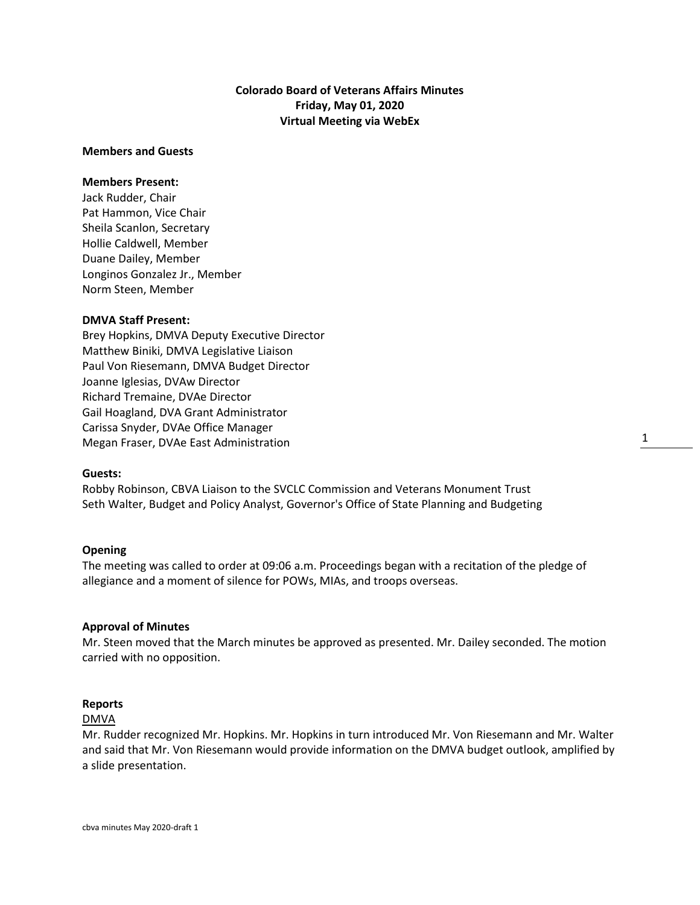# **Colorado Board of Veterans Affairs Minutes Friday, May 01, 2020 Virtual Meeting via WebEx**

#### **Members and Guests**

# **Members Present:**

Jack Rudder, Chair Pat Hammon, Vice Chair Sheila Scanlon, Secretary Hollie Caldwell, Member Duane Dailey, Member Longinos Gonzalez Jr., Member Norm Steen, Member

#### **DMVA Staff Present:**

Brey Hopkins, DMVA Deputy Executive Director Matthew Biniki, DMVA Legislative Liaison Paul Von Riesemann, DMVA Budget Director Joanne Iglesias, DVAw Director Richard Tremaine, DVAe Director Gail Hoagland, DVA Grant Administrator Carissa Snyder, DVAe Office Manager Megan Fraser, DVAe East Administration

#### **Guests:**

Robby Robinson, CBVA Liaison to the SVCLC Commission and Veterans Monument Trust Seth Walter, Budget and Policy Analyst, Governor's Office of State Planning and Budgeting

#### **Opening**

The meeting was called to order at 09:06 a.m. Proceedings began with a recitation of the pledge of allegiance and a moment of silence for POWs, MIAs, and troops overseas.

#### **Approval of Minutes**

Mr. Steen moved that the March minutes be approved as presented. Mr. Dailey seconded. The motion carried with no opposition.

### **Reports**

#### DMVA

Mr. Rudder recognized Mr. Hopkins. Mr. Hopkins in turn introduced Mr. Von Riesemann and Mr. Walter and said that Mr. Von Riesemann would provide information on the DMVA budget outlook, amplified by a slide presentation.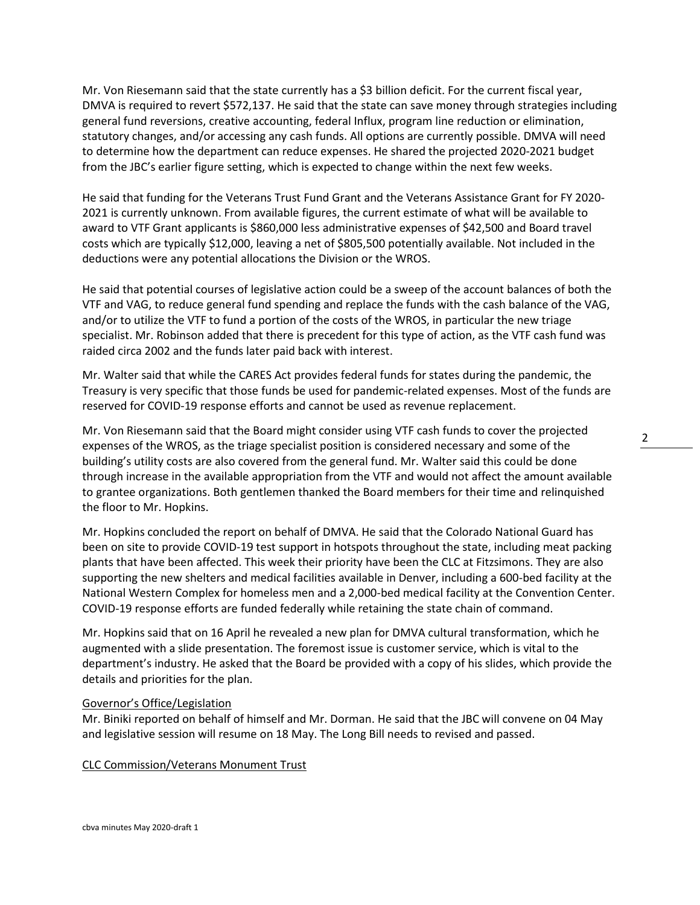Mr. Von Riesemann said that the state currently has a \$3 billion deficit. For the current fiscal year, DMVA is required to revert \$572,137. He said that the state can save money through strategies including general fund reversions, creative accounting, federal Influx, program line reduction or elimination, statutory changes, and/or accessing any cash funds. All options are currently possible. DMVA will need to determine how the department can reduce expenses. He shared the projected 2020-2021 budget from the JBC's earlier figure setting, which is expected to change within the next few weeks.

He said that funding for the Veterans Trust Fund Grant and the Veterans Assistance Grant for FY 2020- 2021 is currently unknown. From available figures, the current estimate of what will be available to award to VTF Grant applicants is \$860,000 less administrative expenses of \$42,500 and Board travel costs which are typically \$12,000, leaving a net of \$805,500 potentially available. Not included in the deductions were any potential allocations the Division or the WROS.

He said that potential courses of legislative action could be a sweep of the account balances of both the VTF and VAG, to reduce general fund spending and replace the funds with the cash balance of the VAG, and/or to utilize the VTF to fund a portion of the costs of the WROS, in particular the new triage specialist. Mr. Robinson added that there is precedent for this type of action, as the VTF cash fund was raided circa 2002 and the funds later paid back with interest.

Mr. Walter said that while the CARES Act provides federal funds for states during the pandemic, the Treasury is very specific that those funds be used for pandemic-related expenses. Most of the funds are reserved for COVID-19 response efforts and cannot be used as revenue replacement.

Mr. Von Riesemann said that the Board might consider using VTF cash funds to cover the projected expenses of the WROS, as the triage specialist position is considered necessary and some of the building's utility costs are also covered from the general fund. Mr. Walter said this could be done through increase in the available appropriation from the VTF and would not affect the amount available to grantee organizations. Both gentlemen thanked the Board members for their time and relinquished the floor to Mr. Hopkins.

Mr. Hopkins concluded the report on behalf of DMVA. He said that the Colorado National Guard has been on site to provide COVID-19 test support in hotspots throughout the state, including meat packing plants that have been affected. This week their priority have been the CLC at Fitzsimons. They are also supporting the new shelters and medical facilities available in Denver, including a 600-bed facility at the National Western Complex for homeless men and a 2,000-bed medical facility at the Convention Center. COVID-19 response efforts are funded federally while retaining the state chain of command.

Mr. Hopkins said that on 16 April he revealed a new plan for DMVA cultural transformation, which he augmented with a slide presentation. The foremost issue is customer service, which is vital to the department's industry. He asked that the Board be provided with a copy of his slides, which provide the details and priorities for the plan.

# Governor's Office/Legislation

Mr. Biniki reported on behalf of himself and Mr. Dorman. He said that the JBC will convene on 04 May and legislative session will resume on 18 May. The Long Bill needs to revised and passed.

#### CLC Commission/Veterans Monument Trust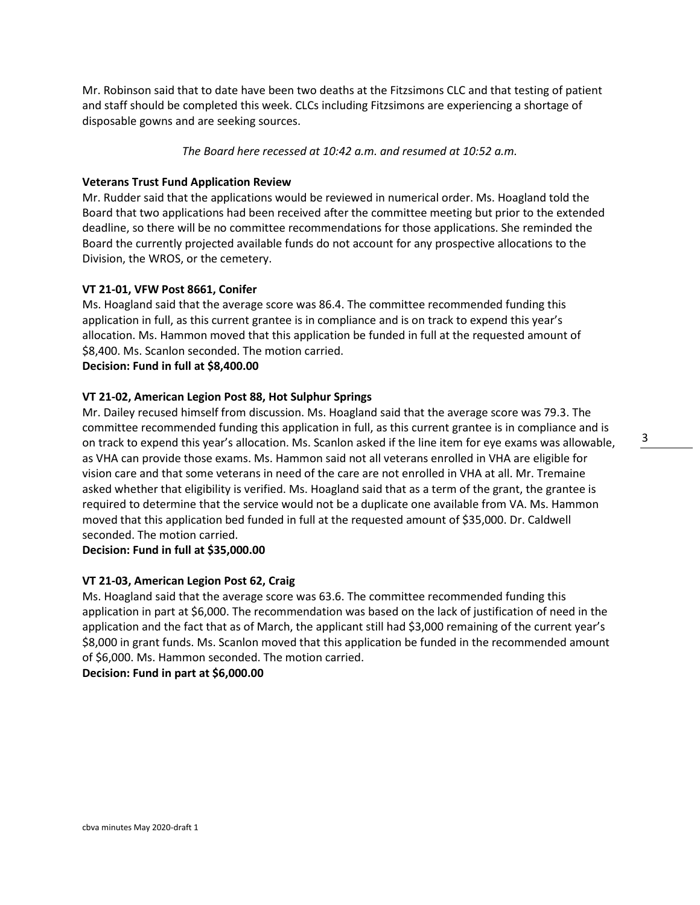Mr. Robinson said that to date have been two deaths at the Fitzsimons CLC and that testing of patient and staff should be completed this week. CLCs including Fitzsimons are experiencing a shortage of disposable gowns and are seeking sources.

*The Board here recessed at 10:42 a.m. and resumed at 10:52 a.m.*

# **Veterans Trust Fund Application Review**

Mr. Rudder said that the applications would be reviewed in numerical order. Ms. Hoagland told the Board that two applications had been received after the committee meeting but prior to the extended deadline, so there will be no committee recommendations for those applications. She reminded the Board the currently projected available funds do not account for any prospective allocations to the Division, the WROS, or the cemetery.

# **VT 21-01, VFW Post 8661, Conifer**

Ms. Hoagland said that the average score was 86.4. The committee recommended funding this application in full, as this current grantee is in compliance and is on track to expend this year's allocation. Ms. Hammon moved that this application be funded in full at the requested amount of \$8,400. Ms. Scanlon seconded. The motion carried.

# **Decision: Fund in full at \$8,400.00**

# **VT 21-02, American Legion Post 88, Hot Sulphur Springs**

Mr. Dailey recused himself from discussion. Ms. Hoagland said that the average score was 79.3. The committee recommended funding this application in full, as this current grantee is in compliance and is on track to expend this year's allocation. Ms. Scanlon asked if the line item for eye exams was allowable, as VHA can provide those exams. Ms. Hammon said not all veterans enrolled in VHA are eligible for vision care and that some veterans in need of the care are not enrolled in VHA at all. Mr. Tremaine asked whether that eligibility is verified. Ms. Hoagland said that as a term of the grant, the grantee is required to determine that the service would not be a duplicate one available from VA. Ms. Hammon moved that this application bed funded in full at the requested amount of \$35,000. Dr. Caldwell seconded. The motion carried.

# **Decision: Fund in full at \$35,000.00**

# **VT 21-03, American Legion Post 62, Craig**

Ms. Hoagland said that the average score was 63.6. The committee recommended funding this application in part at \$6,000. The recommendation was based on the lack of justification of need in the application and the fact that as of March, the applicant still had \$3,000 remaining of the current year's \$8,000 in grant funds. Ms. Scanlon moved that this application be funded in the recommended amount of \$6,000. Ms. Hammon seconded. The motion carried. **Decision: Fund in part at \$6,000.00**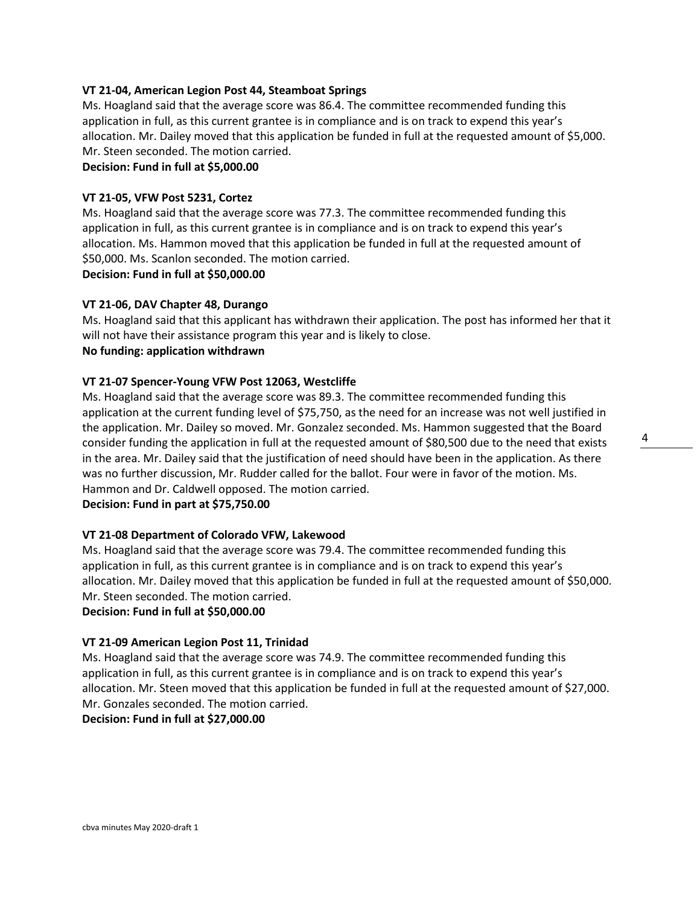# **VT 21-04, American Legion Post 44, Steamboat Springs**

Ms. Hoagland said that the average score was 86.4. The committee recommended funding this application in full, as this current grantee is in compliance and is on track to expend this year's allocation. Mr. Dailey moved that this application be funded in full at the requested amount of \$5,000. Mr. Steen seconded. The motion carried.

# **Decision: Fund in full at \$5,000.00**

# **VT 21-05, VFW Post 5231, Cortez**

Ms. Hoagland said that the average score was 77.3. The committee recommended funding this application in full, as this current grantee is in compliance and is on track to expend this year's allocation. Ms. Hammon moved that this application be funded in full at the requested amount of \$50,000. Ms. Scanlon seconded. The motion carried.

**Decision: Fund in full at \$50,000.00**

# **VT 21-06, DAV Chapter 48, Durango**

Ms. Hoagland said that this applicant has withdrawn their application. The post has informed her that it will not have their assistance program this year and is likely to close.

# **No funding: application withdrawn**

# **VT 21-07 Spencer-Young VFW Post 12063, Westcliffe**

Ms. Hoagland said that the average score was 89.3. The committee recommended funding this application at the current funding level of \$75,750, as the need for an increase was not well justified in the application. Mr. Dailey so moved. Mr. Gonzalez seconded. Ms. Hammon suggested that the Board consider funding the application in full at the requested amount of \$80,500 due to the need that exists in the area. Mr. Dailey said that the justification of need should have been in the application. As there was no further discussion, Mr. Rudder called for the ballot. Four were in favor of the motion. Ms. Hammon and Dr. Caldwell opposed. The motion carried.

# **Decision: Fund in part at \$75,750.00**

# **VT 21-08 Department of Colorado VFW, Lakewood**

Ms. Hoagland said that the average score was 79.4. The committee recommended funding this application in full, as this current grantee is in compliance and is on track to expend this year's allocation. Mr. Dailey moved that this application be funded in full at the requested amount of \$50,000. Mr. Steen seconded. The motion carried.

# **Decision: Fund in full at \$50,000.00**

# **VT 21-09 American Legion Post 11, Trinidad**

Ms. Hoagland said that the average score was 74.9. The committee recommended funding this application in full, as this current grantee is in compliance and is on track to expend this year's allocation. Mr. Steen moved that this application be funded in full at the requested amount of \$27,000. Mr. Gonzales seconded. The motion carried.

# **Decision: Fund in full at \$27,000.00**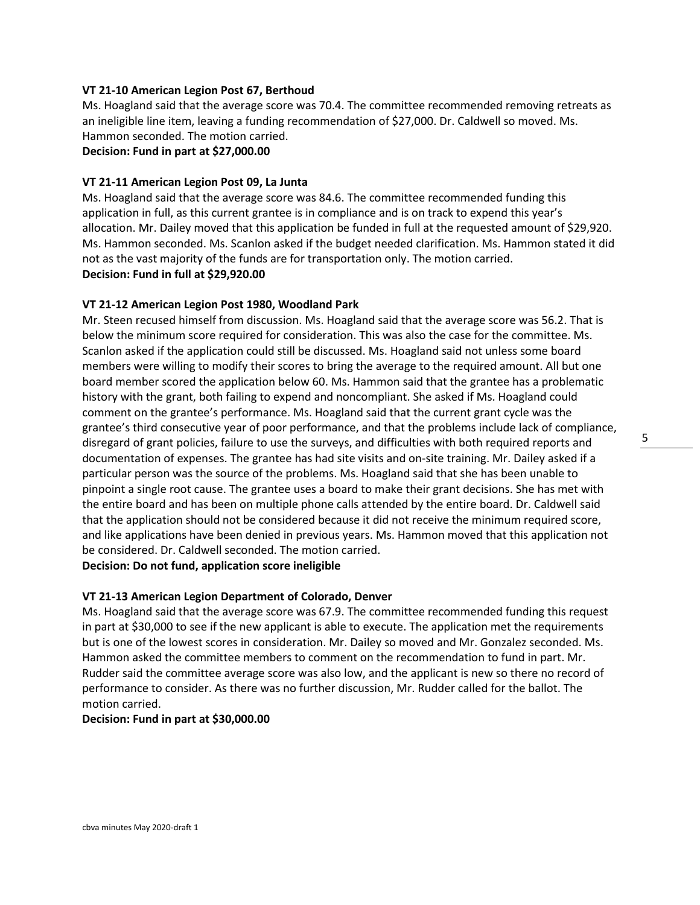# **VT 21-10 American Legion Post 67, Berthoud**

Ms. Hoagland said that the average score was 70.4. The committee recommended removing retreats as an ineligible line item, leaving a funding recommendation of \$27,000. Dr. Caldwell so moved. Ms. Hammon seconded. The motion carried.

# **Decision: Fund in part at \$27,000.00**

# **VT 21-11 American Legion Post 09, La Junta**

Ms. Hoagland said that the average score was 84.6. The committee recommended funding this application in full, as this current grantee is in compliance and is on track to expend this year's allocation. Mr. Dailey moved that this application be funded in full at the requested amount of \$29,920. Ms. Hammon seconded. Ms. Scanlon asked if the budget needed clarification. Ms. Hammon stated it did not as the vast majority of the funds are for transportation only. The motion carried. **Decision: Fund in full at \$29,920.00**

#### **VT 21-12 American Legion Post 1980, Woodland Park**

Mr. Steen recused himself from discussion. Ms. Hoagland said that the average score was 56.2. That is below the minimum score required for consideration. This was also the case for the committee. Ms. Scanlon asked if the application could still be discussed. Ms. Hoagland said not unless some board members were willing to modify their scores to bring the average to the required amount. All but one board member scored the application below 60. Ms. Hammon said that the grantee has a problematic history with the grant, both failing to expend and noncompliant. She asked if Ms. Hoagland could comment on the grantee's performance. Ms. Hoagland said that the current grant cycle was the grantee's third consecutive year of poor performance, and that the problems include lack of compliance, disregard of grant policies, failure to use the surveys, and difficulties with both required reports and documentation of expenses. The grantee has had site visits and on-site training. Mr. Dailey asked if a particular person was the source of the problems. Ms. Hoagland said that she has been unable to pinpoint a single root cause. The grantee uses a board to make their grant decisions. She has met with the entire board and has been on multiple phone calls attended by the entire board. Dr. Caldwell said that the application should not be considered because it did not receive the minimum required score, and like applications have been denied in previous years. Ms. Hammon moved that this application not be considered. Dr. Caldwell seconded. The motion carried.

# **Decision: Do not fund, application score ineligible**

#### **VT 21-13 American Legion Department of Colorado, Denver**

Ms. Hoagland said that the average score was 67.9. The committee recommended funding this request in part at \$30,000 to see if the new applicant is able to execute. The application met the requirements but is one of the lowest scores in consideration. Mr. Dailey so moved and Mr. Gonzalez seconded. Ms. Hammon asked the committee members to comment on the recommendation to fund in part. Mr. Rudder said the committee average score was also low, and the applicant is new so there no record of performance to consider. As there was no further discussion, Mr. Rudder called for the ballot. The motion carried.

### **Decision: Fund in part at \$30,000.00**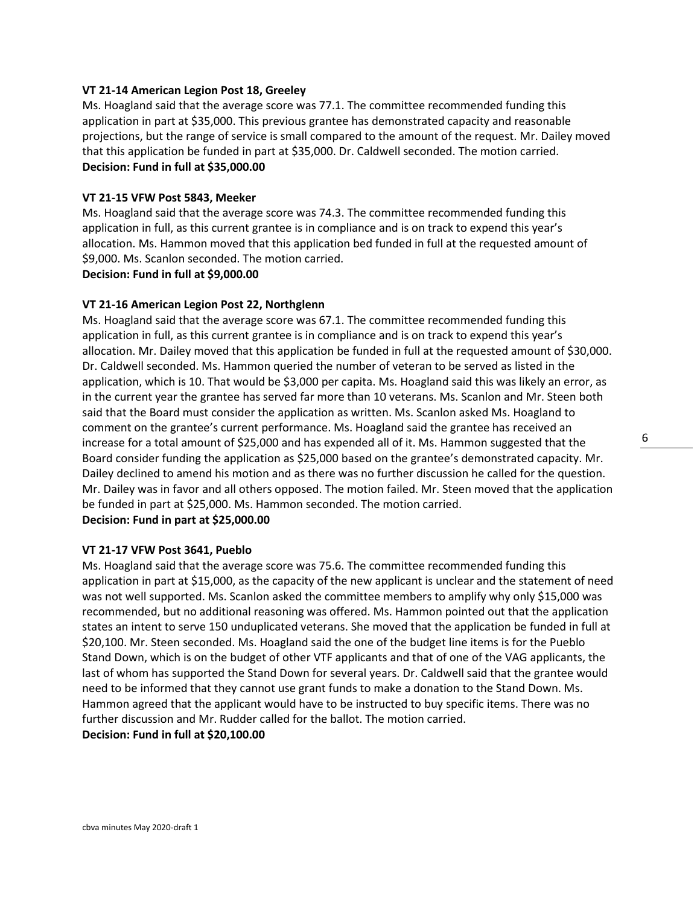### **VT 21-14 American Legion Post 18, Greeley**

Ms. Hoagland said that the average score was 77.1. The committee recommended funding this application in part at \$35,000. This previous grantee has demonstrated capacity and reasonable projections, but the range of service is small compared to the amount of the request. Mr. Dailey moved that this application be funded in part at \$35,000. Dr. Caldwell seconded. The motion carried. **Decision: Fund in full at \$35,000.00**

#### **VT 21-15 VFW Post 5843, Meeker**

Ms. Hoagland said that the average score was 74.3. The committee recommended funding this application in full, as this current grantee is in compliance and is on track to expend this year's allocation. Ms. Hammon moved that this application bed funded in full at the requested amount of \$9,000. Ms. Scanlon seconded. The motion carried.

#### **Decision: Fund in full at \$9,000.00**

#### **VT 21-16 American Legion Post 22, Northglenn**

Ms. Hoagland said that the average score was 67.1. The committee recommended funding this application in full, as this current grantee is in compliance and is on track to expend this year's allocation. Mr. Dailey moved that this application be funded in full at the requested amount of \$30,000. Dr. Caldwell seconded. Ms. Hammon queried the number of veteran to be served as listed in the application, which is 10. That would be \$3,000 per capita. Ms. Hoagland said this was likely an error, as in the current year the grantee has served far more than 10 veterans. Ms. Scanlon and Mr. Steen both said that the Board must consider the application as written. Ms. Scanlon asked Ms. Hoagland to comment on the grantee's current performance. Ms. Hoagland said the grantee has received an increase for a total amount of \$25,000 and has expended all of it. Ms. Hammon suggested that the Board consider funding the application as \$25,000 based on the grantee's demonstrated capacity. Mr. Dailey declined to amend his motion and as there was no further discussion he called for the question. Mr. Dailey was in favor and all others opposed. The motion failed. Mr. Steen moved that the application be funded in part at \$25,000. Ms. Hammon seconded. The motion carried. **Decision: Fund in part at \$25,000.00**

#### **VT 21-17 VFW Post 3641, Pueblo**

Ms. Hoagland said that the average score was 75.6. The committee recommended funding this application in part at \$15,000, as the capacity of the new applicant is unclear and the statement of need was not well supported. Ms. Scanlon asked the committee members to amplify why only \$15,000 was recommended, but no additional reasoning was offered. Ms. Hammon pointed out that the application states an intent to serve 150 unduplicated veterans. She moved that the application be funded in full at \$20,100. Mr. Steen seconded. Ms. Hoagland said the one of the budget line items is for the Pueblo Stand Down, which is on the budget of other VTF applicants and that of one of the VAG applicants, the last of whom has supported the Stand Down for several years. Dr. Caldwell said that the grantee would need to be informed that they cannot use grant funds to make a donation to the Stand Down. Ms. Hammon agreed that the applicant would have to be instructed to buy specific items. There was no further discussion and Mr. Rudder called for the ballot. The motion carried. **Decision: Fund in full at \$20,100.00**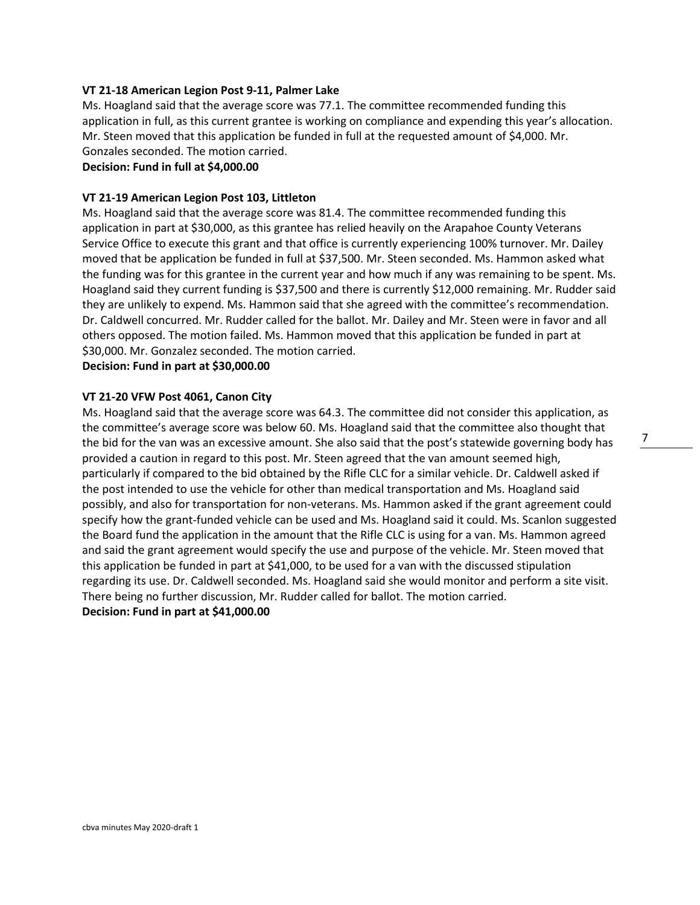## **VT 21-18 American Legion Post 9-11, Palmer Lake**

Ms. Hoagland said that the average score was 77.1. The committee recommended funding this application in full, as this current grantee is working on compliance and expending this year's allocation. Mr. Steen moved that this application be funded in full at the requested amount of \$4,000. Mr. Gonzales seconded. The motion carried.

# **Decision: Fund in full at \$4,000.00**

#### **VT 21-19 American Legion Post 103, Littleton**

Ms. Hoagland said that the average score was 81.4. The committee recommended funding this application in part at \$30,000, as this grantee has relied heavily on the Arapahoe County Veterans Service Office to execute this grant and that office is currently experiencing 100% turnover. Mr. Dailey moved that be application be funded in full at \$37,500. Mr. Steen seconded. Ms. Hammon asked what the funding was for this grantee in the current year and how much if any was remaining to be spent. Ms. Hoagland said they current funding is \$37,500 and there is currently \$12,000 remaining. Mr. Rudder said they are unlikely to expend. Ms. Hammon said that she agreed with the committee's recommendation. Dr. Caldwell concurred. Mr. Rudder called for the ballot. Mr. Dailey and Mr. Steen were in favor and all others opposed. The motion failed. Ms. Hammon moved that this application be funded in part at \$30,000. Mr. Gonzalez seconded. The motion carried.

# **Decision: Fund in part at \$30,000.00**

#### **VT 21-20 VFW Post 4061, Canon City**

Ms. Hoagland said that the average score was 64.3. The committee did not consider this application, as the committee's average score was below 60. Ms. Hoagland said that the committee also thought that the bid for the van was an excessive amount. She also said that the post's statewide governing body has provided a caution in regard to this post. Mr. Steen agreed that the van amount seemed high, particularly if compared to the bid obtained by the Rifle CLC for a similar vehicle. Dr. Caldwell asked if the post intended to use the vehicle for other than medical transportation and Ms. Hoagland said possibly, and also for transportation for non-veterans. Ms. Hammon asked if the grant agreement could specify how the grant-funded vehicle can be used and Ms. Hoagland said it could. Ms. Scanlon suggested the Board fund the application in the amount that the Rifle CLC is using for a van. Ms. Hammon agreed and said the grant agreement would specify the use and purpose of the vehicle. Mr. Steen moved that this application be funded in part at \$41,000, to be used for a van with the discussed stipulation regarding its use. Dr. Caldwell seconded. Ms. Hoagland said she would monitor and perform a site visit. There being no further discussion, Mr. Rudder called for ballot. The motion carried. **Decision: Fund in part at \$41,000.00**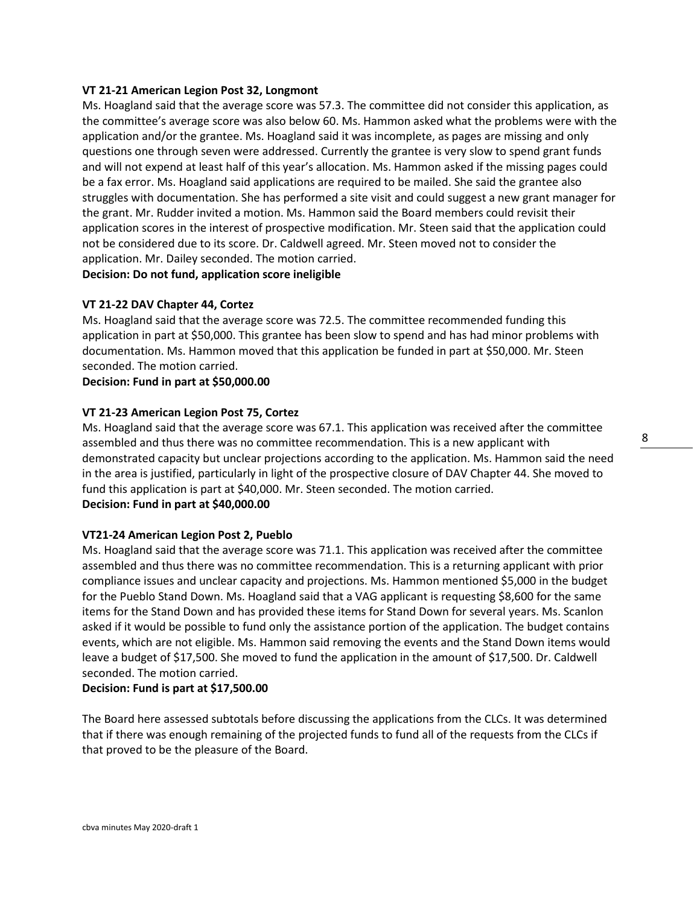### **VT 21-21 American Legion Post 32, Longmont**

Ms. Hoagland said that the average score was 57.3. The committee did not consider this application, as the committee's average score was also below 60. Ms. Hammon asked what the problems were with the application and/or the grantee. Ms. Hoagland said it was incomplete, as pages are missing and only questions one through seven were addressed. Currently the grantee is very slow to spend grant funds and will not expend at least half of this year's allocation. Ms. Hammon asked if the missing pages could be a fax error. Ms. Hoagland said applications are required to be mailed. She said the grantee also struggles with documentation. She has performed a site visit and could suggest a new grant manager for the grant. Mr. Rudder invited a motion. Ms. Hammon said the Board members could revisit their application scores in the interest of prospective modification. Mr. Steen said that the application could not be considered due to its score. Dr. Caldwell agreed. Mr. Steen moved not to consider the application. Mr. Dailey seconded. The motion carried.

**Decision: Do not fund, application score ineligible**

#### **VT 21-22 DAV Chapter 44, Cortez**

Ms. Hoagland said that the average score was 72.5. The committee recommended funding this application in part at \$50,000. This grantee has been slow to spend and has had minor problems with documentation. Ms. Hammon moved that this application be funded in part at \$50,000. Mr. Steen seconded. The motion carried.

**Decision: Fund in part at \$50,000.00**

#### **VT 21-23 American Legion Post 75, Cortez**

Ms. Hoagland said that the average score was 67.1. This application was received after the committee assembled and thus there was no committee recommendation. This is a new applicant with demonstrated capacity but unclear projections according to the application. Ms. Hammon said the need in the area is justified, particularly in light of the prospective closure of DAV Chapter 44. She moved to fund this application is part at \$40,000. Mr. Steen seconded. The motion carried. **Decision: Fund in part at \$40,000.00**

# **VT21-24 American Legion Post 2, Pueblo**

Ms. Hoagland said that the average score was 71.1. This application was received after the committee assembled and thus there was no committee recommendation. This is a returning applicant with prior compliance issues and unclear capacity and projections. Ms. Hammon mentioned \$5,000 in the budget for the Pueblo Stand Down. Ms. Hoagland said that a VAG applicant is requesting \$8,600 for the same items for the Stand Down and has provided these items for Stand Down for several years. Ms. Scanlon asked if it would be possible to fund only the assistance portion of the application. The budget contains events, which are not eligible. Ms. Hammon said removing the events and the Stand Down items would leave a budget of \$17,500. She moved to fund the application in the amount of \$17,500. Dr. Caldwell seconded. The motion carried.

# **Decision: Fund is part at \$17,500.00**

The Board here assessed subtotals before discussing the applications from the CLCs. It was determined that if there was enough remaining of the projected funds to fund all of the requests from the CLCs if that proved to be the pleasure of the Board.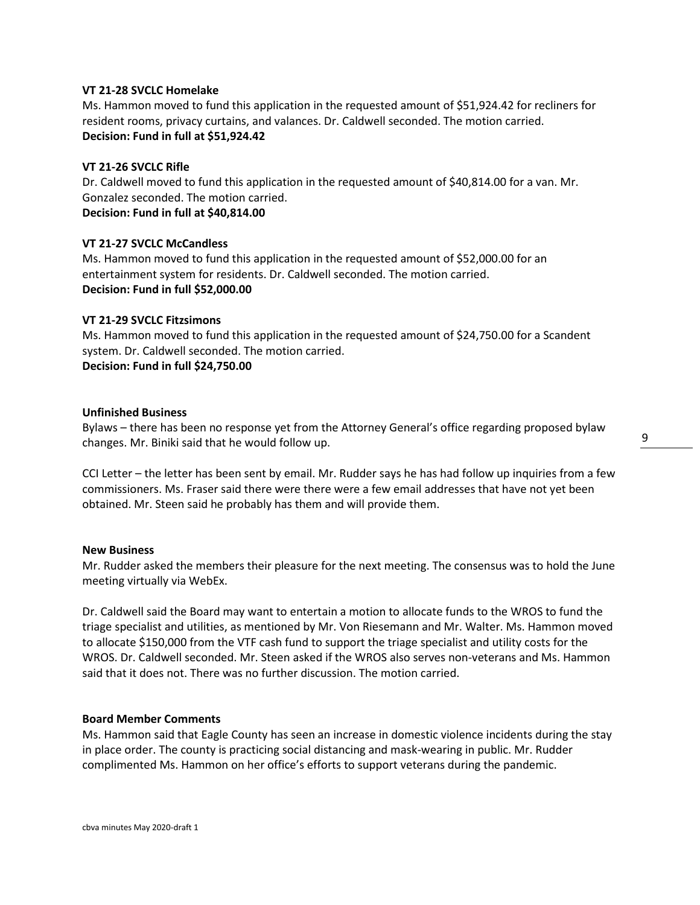## **VT 21-28 SVCLC Homelake**

Ms. Hammon moved to fund this application in the requested amount of \$51,924.42 for recliners for resident rooms, privacy curtains, and valances. Dr. Caldwell seconded. The motion carried. **Decision: Fund in full at \$51,924.42**

# **VT 21-26 SVCLC Rifle**

Dr. Caldwell moved to fund this application in the requested amount of \$40,814.00 for a van. Mr. Gonzalez seconded. The motion carried.

**Decision: Fund in full at \$40,814.00**

# **VT 21-27 SVCLC McCandless**

Ms. Hammon moved to fund this application in the requested amount of \$52,000.00 for an entertainment system for residents. Dr. Caldwell seconded. The motion carried. **Decision: Fund in full \$52,000.00**

# **VT 21-29 SVCLC Fitzsimons**

Ms. Hammon moved to fund this application in the requested amount of \$24,750.00 for a Scandent system. Dr. Caldwell seconded. The motion carried. **Decision: Fund in full \$24,750.00**

**Unfinished Business**

Bylaws – there has been no response yet from the Attorney General's office regarding proposed bylaw changes. Mr. Biniki said that he would follow up.

CCI Letter – the letter has been sent by email. Mr. Rudder says he has had follow up inquiries from a few commissioners. Ms. Fraser said there were there were a few email addresses that have not yet been obtained. Mr. Steen said he probably has them and will provide them.

#### **New Business**

Mr. Rudder asked the members their pleasure for the next meeting. The consensus was to hold the June meeting virtually via WebEx.

Dr. Caldwell said the Board may want to entertain a motion to allocate funds to the WROS to fund the triage specialist and utilities, as mentioned by Mr. Von Riesemann and Mr. Walter. Ms. Hammon moved to allocate \$150,000 from the VTF cash fund to support the triage specialist and utility costs for the WROS. Dr. Caldwell seconded. Mr. Steen asked if the WROS also serves non-veterans and Ms. Hammon said that it does not. There was no further discussion. The motion carried.

#### **Board Member Comments**

Ms. Hammon said that Eagle County has seen an increase in domestic violence incidents during the stay in place order. The county is practicing social distancing and mask-wearing in public. Mr. Rudder complimented Ms. Hammon on her office's efforts to support veterans during the pandemic.